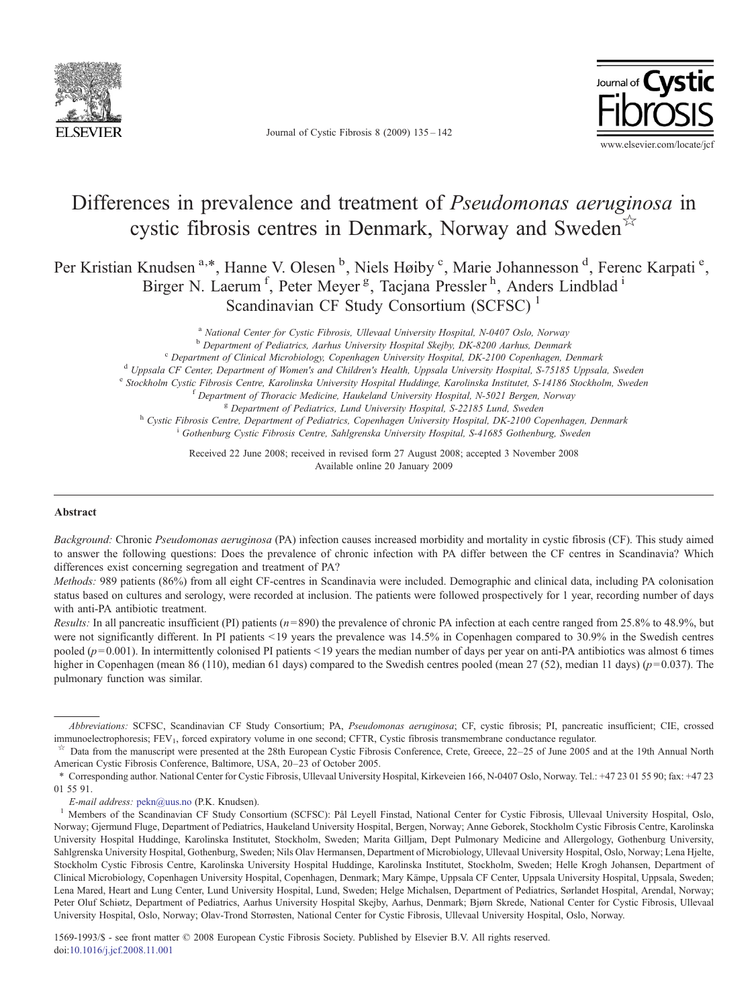

Journal of Cystic Fibrosis 8 (2009) 135–142



# Differences in prevalence and treatment of Pseudomonas aeruginosa in cystic fibrosis centres in Denmark, Norway and Sweden $\overrightarrow{x}$

Per Kristian Knudsen<sup>a,\*</sup>, Hanne V. Olesen<sup>b</sup>, Niels Høiby<sup>c</sup>, Marie Johannesson<sup>d</sup>, Ferenc Karpati<sup>e</sup>, Birger N. Laerum<sup>f</sup>, Peter Meyer<sup>g</sup>, Tacjana Pressler<sup>h</sup>, Anders Lindblad<sup>i</sup> Scandinavian CF Study Consortium (SCFSC)<sup>1</sup>

> <sup>a</sup> National Center for Cystic Fibrosis, Ullevaal University Hospital, N-0407 Oslo, Norway b Department of Pediatrics, Aarhus University Hospital Skejby, DK-8200 Aarhus, Denmark <sup>c</sup> Department of Clinical Microbiology, Copenhagen University Hospital, DK-2100 Copenhagen, Denmark<br><sup>d</sup> Uppsala CF Center, Department of Women's and Children's Health, Uppsala University Hospital, S-75185 Uppsala, Sweden <sup>e</sup> Stockholm Cystic Fibrosis Centre, Karolinska University Hospital Huddinge, Karolinska Institutet, S-14186 Stockholm, Sweden<br><sup>f</sup> Department of Thoracic Medicine, Haukeland University Hospital, N-5021 Bergen, Norway<br><sup>8</sup> <sup>i</sup> Gothenburg Cystic Fibrosis Centre, Sahlgrenska University Hospital, S-41685 Gothenburg, Sweden

Received 22 June 2008; received in revised form 27 August 2008; accepted 3 November 2008 Available online 20 January 2009

### Abstract

Background: Chronic Pseudomonas aeruginosa (PA) infection causes increased morbidity and mortality in cystic fibrosis (CF). This study aimed to answer the following questions: Does the prevalence of chronic infection with PA differ between the CF centres in Scandinavia? Which differences exist concerning segregation and treatment of PA?

Methods: 989 patients (86%) from all eight CF-centres in Scandinavia were included. Demographic and clinical data, including PA colonisation status based on cultures and serology, were recorded at inclusion. The patients were followed prospectively for 1 year, recording number of days with anti-PA antibiotic treatment.

*Results:* In all pancreatic insufficient (PI) patients  $(n=890)$  the prevalence of chronic PA infection at each centre ranged from 25.8% to 48.9%, but were not significantly different. In PI patients  $\leq$ 19 years the prevalence was 14.5% in Copenhagen compared to 30.9% in the Swedish centres pooled ( $p=0.001$ ). In intermittently colonised PI patients <19 years the median number of days per year on anti-PA antibiotics was almost 6 times higher in Copenhagen (mean 86 (110), median 61 days) compared to the Swedish centres pooled (mean 27 (52), median 11 days) ( $p=0.037$ ). The pulmonary function was similar.

Abbreviations: SCFSC, Scandinavian CF Study Consortium; PA, Pseudomonas aeruginosa; CF, cystic fibrosis; PI, pancreatic insufficient; CIE, crossed immunoelectrophoresis; FEV<sub>1</sub>, forced expiratory volume in one second; CFTR, Cystic fibrosis transmembrane conductance regulator.<br><sup>\*</sup> Data from the manuscript were presented at the 28th European Cystic Fibrosis Conference,

American Cystic Fibrosis Conference, Baltimore, USA, 20–23 of October 2005.

<sup>⁎</sup> Corresponding author. National Center for Cystic Fibrosis, Ullevaal University Hospital, Kirkeveien 166, N-0407 Oslo, Norway. Tel.: +47 23 01 55 90; fax: +47 23 01 55 91.

E-mail address: [pekn@uus.no](mailto:pekn@uus.no) (P.K. Knudsen).<br>Members of the Scandinavian CF Study Consortium (SCFSC): Pål Leyell Finstad, National Center for Cystic Fibrosis, Ullevaal University Hospital, Oslo, Norway; Gjermund Fluge, Department of Pediatrics, Haukeland University Hospital, Bergen, Norway; Anne Geborek, Stockholm Cystic Fibrosis Centre, Karolinska University Hospital Huddinge, Karolinska Institutet, Stockholm, Sweden; Marita Gilljam, Dept Pulmonary Medicine and Allergology, Gothenburg University, Sahlgrenska University Hospital, Gothenburg, Sweden; Nils Olav Hermansen, Department of Microbiology, Ullevaal University Hospital, Oslo, Norway; Lena Hjelte, Stockholm Cystic Fibrosis Centre, Karolinska University Hospital Huddinge, Karolinska Institutet, Stockholm, Sweden; Helle Krogh Johansen, Department of Clinical Microbiology, Copenhagen University Hospital, Copenhagen, Denmark; Mary Kämpe, Uppsala CF Center, Uppsala University Hospital, Uppsala, Sweden; Lena Mared, Heart and Lung Center, Lund University Hospital, Lund, Sweden; Helge Michalsen, Department of Pediatrics, Sørlandet Hospital, Arendal, Norway; Peter Oluf Schiøtz, Department of Pediatrics, Aarhus University Hospital Skejby, Aarhus, Denmark; Bjørn Skrede, National Center for Cystic Fibrosis, Ullevaal University Hospital, Oslo, Norway; Olav-Trond Storrøsten, National Center for Cystic Fibrosis, Ullevaal University Hospital, Oslo, Norway.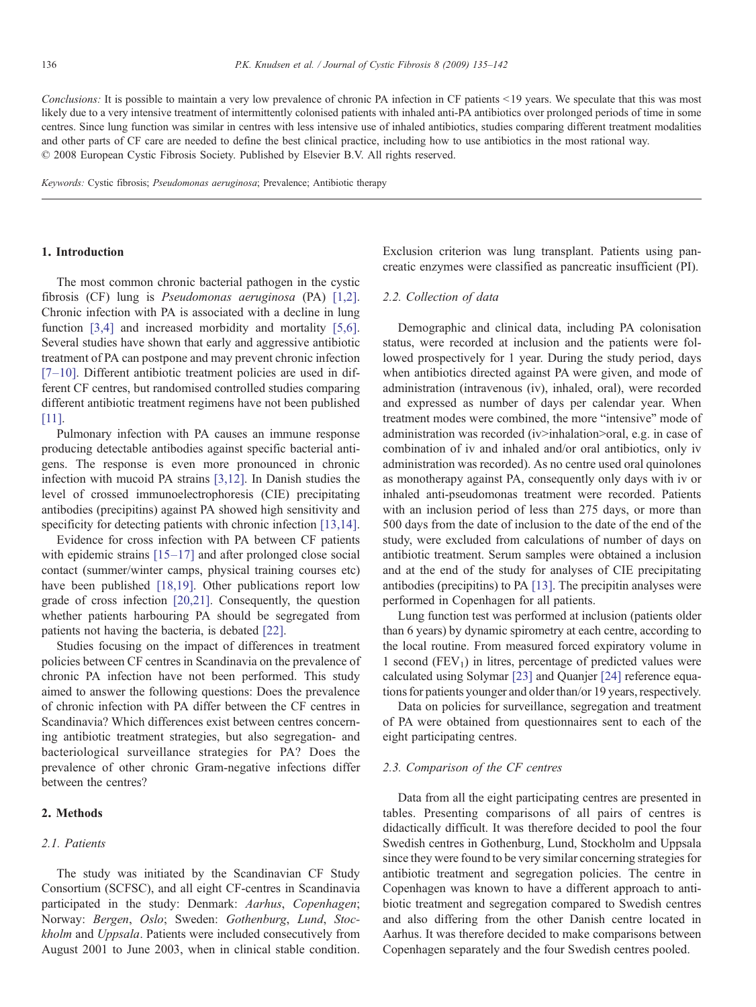Conclusions: It is possible to maintain a very low prevalence of chronic PA infection in CF patients <19 years. We speculate that this was most likely due to a very intensive treatment of intermittently colonised patients with inhaled anti-PA antibiotics over prolonged periods of time in some centres. Since lung function was similar in centres with less intensive use of inhaled antibiotics, studies comparing different treatment modalities and other parts of CF care are needed to define the best clinical practice, including how to use antibiotics in the most rational way. © 2008 European Cystic Fibrosis Society. Published by Elsevier B.V. All rights reserved.

Keywords: Cystic fibrosis; Pseudomonas aeruginosa; Prevalence; Antibiotic therapy

### 1. Introduction

The most common chronic bacterial pathogen in the cystic fibrosis (CF) lung is Pseudomonas aeruginosa (PA) [\[1,2\]](#page-6-0). Chronic infection with PA is associated with a decline in lung function [\[3,4\]](#page-6-0) and increased morbidity and mortality [\[5,6\]](#page-7-0). Several studies have shown that early and aggressive antibiotic treatment of PA can postpone and may prevent chronic infection [7–[10\]](#page-7-0). Different antibiotic treatment policies are used in different CF centres, but randomised controlled studies comparing different antibiotic treatment regimens have not been published [\[11\].](#page-7-0)

Pulmonary infection with PA causes an immune response producing detectable antibodies against specific bacterial antigens. The response is even more pronounced in chronic infection with mucoid PA strains [\[3,12\].](#page-6-0) In Danish studies the level of crossed immunoelectrophoresis (CIE) precipitating antibodies (precipitins) against PA showed high sensitivity and specificity for detecting patients with chronic infection [\[13,14\]](#page-7-0).

Evidence for cross infection with PA between CF patients with epidemic strains [\[15](#page-7-0)–17] and after prolonged close social contact (summer/winter camps, physical training courses etc) have been published [\[18,19\]](#page-7-0). Other publications report low grade of cross infection [\[20,21\]](#page-7-0). Consequently, the question whether patients harbouring PA should be segregated from patients not having the bacteria, is debated [\[22\]](#page-7-0).

Studies focusing on the impact of differences in treatment policies between CF centres in Scandinavia on the prevalence of chronic PA infection have not been performed. This study aimed to answer the following questions: Does the prevalence of chronic infection with PA differ between the CF centres in Scandinavia? Which differences exist between centres concerning antibiotic treatment strategies, but also segregation- and bacteriological surveillance strategies for PA? Does the prevalence of other chronic Gram-negative infections differ between the centres?

# 2. Methods

# 2.1. Patients

The study was initiated by the Scandinavian CF Study Consortium (SCFSC), and all eight CF-centres in Scandinavia participated in the study: Denmark: Aarhus, Copenhagen; Norway: Bergen, Oslo; Sweden: Gothenburg, Lund, Stockholm and Uppsala. Patients were included consecutively from August 2001 to June 2003, when in clinical stable condition.

Exclusion criterion was lung transplant. Patients using pancreatic enzymes were classified as pancreatic insufficient (PI).

## 2.2. Collection of data

Demographic and clinical data, including PA colonisation status, were recorded at inclusion and the patients were followed prospectively for 1 year. During the study period, days when antibiotics directed against PA were given, and mode of administration (intravenous (iv), inhaled, oral), were recorded and expressed as number of days per calendar year. When treatment modes were combined, the more "intensive" mode of administration was recorded (iv>inhalation>oral, e.g. in case of combination of iv and inhaled and/or oral antibiotics, only iv administration was recorded). As no centre used oral quinolones as monotherapy against PA, consequently only days with iv or inhaled anti-pseudomonas treatment were recorded. Patients with an inclusion period of less than 275 days, or more than 500 days from the date of inclusion to the date of the end of the study, were excluded from calculations of number of days on antibiotic treatment. Serum samples were obtained a inclusion and at the end of the study for analyses of CIE precipitating antibodies (precipitins) to PA [\[13\]](#page-7-0). The precipitin analyses were performed in Copenhagen for all patients.

Lung function test was performed at inclusion (patients older than 6 years) by dynamic spirometry at each centre, according to the local routine. From measured forced expiratory volume in 1 second  $(FEV<sub>1</sub>)$  in litres, percentage of predicted values were calculated using Solymar [\[23\]](#page-7-0) and Quanjer [\[24\]](#page-7-0) reference equations for patients younger and older than/or 19 years, respectively.

Data on policies for surveillance, segregation and treatment of PA were obtained from questionnaires sent to each of the eight participating centres.

#### 2.3. Comparison of the CF centres

Data from all the eight participating centres are presented in tables. Presenting comparisons of all pairs of centres is didactically difficult. It was therefore decided to pool the four Swedish centres in Gothenburg, Lund, Stockholm and Uppsala since they were found to be very similar concerning strategies for antibiotic treatment and segregation policies. The centre in Copenhagen was known to have a different approach to antibiotic treatment and segregation compared to Swedish centres and also differing from the other Danish centre located in Aarhus. It was therefore decided to make comparisons between Copenhagen separately and the four Swedish centres pooled.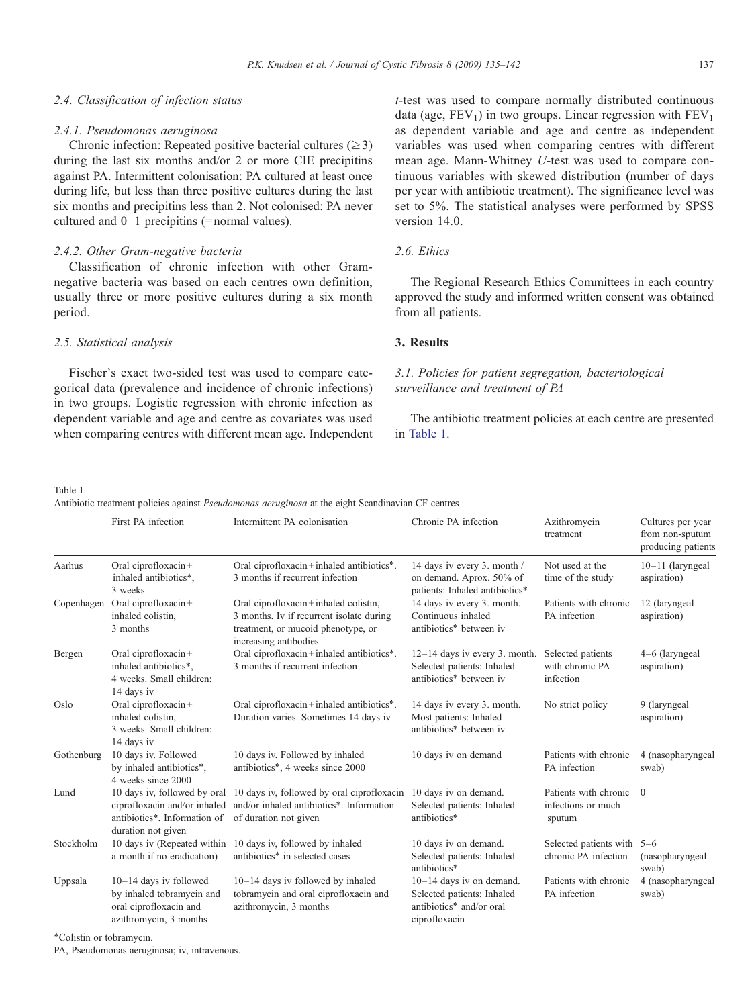## 2.4. Classification of infection status

#### 2.4.1. Pseudomonas aeruginosa

Chronic infection: Repeated positive bacterial cultures ( $\geq$ 3) during the last six months and/or 2 or more CIE precipitins against PA. Intermittent colonisation: PA cultured at least once during life, but less than three positive cultures during the last six months and precipitins less than 2. Not colonised: PA never cultured and 0–1 precipitins (= normal values).

## 2.4.2. Other Gram-negative bacteria

Classification of chronic infection with other Gramnegative bacteria was based on each centres own definition, usually three or more positive cultures during a six month period.

# 2.5. Statistical analysis

Fischer's exact two-sided test was used to compare categorical data (prevalence and incidence of chronic infections) in two groups. Logistic regression with chronic infection as dependent variable and age and centre as covariates was used when comparing centres with different mean age. Independent t-test was used to compare normally distributed continuous data (age,  $FEV_1$ ) in two groups. Linear regression with  $FEV_1$ as dependent variable and age and centre as independent variables was used when comparing centres with different mean age. Mann-Whitney U-test was used to compare continuous variables with skewed distribution (number of days per year with antibiotic treatment). The significance level was set to 5%. The statistical analyses were performed by SPSS version 14.0.

# 2.6. Ethics

The Regional Research Ethics Committees in each country approved the study and informed written consent was obtained from all patients.

# 3. Results

# 3.1. Policies for patient segregation, bacteriological surveillance and treatment of PA

The antibiotic treatment policies at each centre are presented in Table 1.

Table 1

Antibiotic treatment policies against Pseudomonas aeruginosa at the eight Scandinavian CF centres

|            | First PA infection                                                                                                 | Intermittent PA colonisation                                                                                                                    | Chronic PA infection                                                                                  | Azithromycin<br>treatment                             | Cultures per year<br>from non-sputum<br>producing patients |
|------------|--------------------------------------------------------------------------------------------------------------------|-------------------------------------------------------------------------------------------------------------------------------------------------|-------------------------------------------------------------------------------------------------------|-------------------------------------------------------|------------------------------------------------------------|
| Aarhus     | Oral ciprofloxacin+<br>inhaled antibiotics*,<br>3 weeks                                                            | Oral ciprofloxacin+inhaled antibiotics*.<br>3 months if recurrent infection                                                                     | 14 days iv every 3. month /<br>on demand. Aprox. 50% of<br>patients: Inhaled antibiotics*             | Not used at the<br>time of the study                  | $10-11$ (laryngeal<br>aspiration)                          |
| Copenhagen | Oral ciprofloxacin $+$<br>inhaled colistin.<br>3 months                                                            | Oral ciprofloxacin+inhaled colistin,<br>3 months. Iv if recurrent isolate during<br>treatment, or mucoid phenotype, or<br>increasing antibodies | 14 days iv every 3. month.<br>Continuous inhaled<br>antibiotics* between iv                           | Patients with chronic<br>PA infection                 | 12 (laryngeal<br>aspiration)                               |
| Bergen     | Oral ciprofloxacin+<br>inhaled antibiotics*.<br>4 weeks. Small children:<br>14 days iv                             | Oral ciprofloxacin+inhaled antibiotics*.<br>3 months if recurrent infection                                                                     | $12-14$ days iv every 3. month.<br>Selected patients: Inhaled<br>antibiotics* between iv              | Selected patients<br>with chronic PA<br>infection     | 4–6 (laryngeal<br>aspiration)                              |
| Oslo       | Oral ciprofloxacin+<br>inhaled colistin.<br>3 weeks. Small children:<br>14 days iv                                 | Oral ciprofloxacin+inhaled antibiotics*.<br>Duration varies. Sometimes 14 days iv                                                               | 14 days iv every 3. month.<br>Most patients: Inhaled<br>antibiotics* between iv                       | No strict policy                                      | 9 (laryngeal<br>aspiration)                                |
| Gothenburg | 10 days iv. Followed<br>by inhaled antibiotics*,<br>4 weeks since 2000                                             | 10 days iv. Followed by inhaled<br>antibiotics*, 4 weeks since 2000                                                                             | 10 days iv on demand                                                                                  | Patients with chronic<br>PA infection                 | 4 (nasopharyngeal<br>swab)                                 |
| Lund       | 10 days iv, followed by oral<br>ciprofloxacin and/or inhaled<br>antibiotics*. Information of<br>duration not given | 10 days iv, followed by oral ciprofloxacin<br>and/or inhaled antibiotics*. Information<br>of duration not given                                 | 10 days iv on demand.<br>Selected patients: Inhaled<br>antibiotics*                                   | Patients with chronic<br>infections or much<br>sputum | $\theta$                                                   |
| Stockholm  | 10 days iv (Repeated within<br>a month if no eradication)                                                          | 10 days iv, followed by inhaled<br>antibiotics* in selected cases                                                                               | 10 days iv on demand.<br>Selected patients: Inhaled<br>antibiotics*                                   | Selected patients with<br>chronic PA infection        | $5 - 6$<br>(nasopharyngeal<br>swab)                        |
| Uppsala    | $10-14$ days iv followed<br>by inhaled tobramycin and<br>oral ciprofloxacin and<br>azithromycin, 3 months          | 10-14 days iv followed by inhaled<br>tobramycin and oral ciprofloxacin and<br>azithromycin, 3 months                                            | $10-14$ days iv on demand.<br>Selected patients: Inhaled<br>antibiotics* and/or oral<br>ciprofloxacin | Patients with chronic<br>PA infection                 | 4 (nasopharyngeal<br>swab)                                 |

⁎Colistin or tobramycin.

PA, Pseudomonas aeruginosa; iv, intravenous.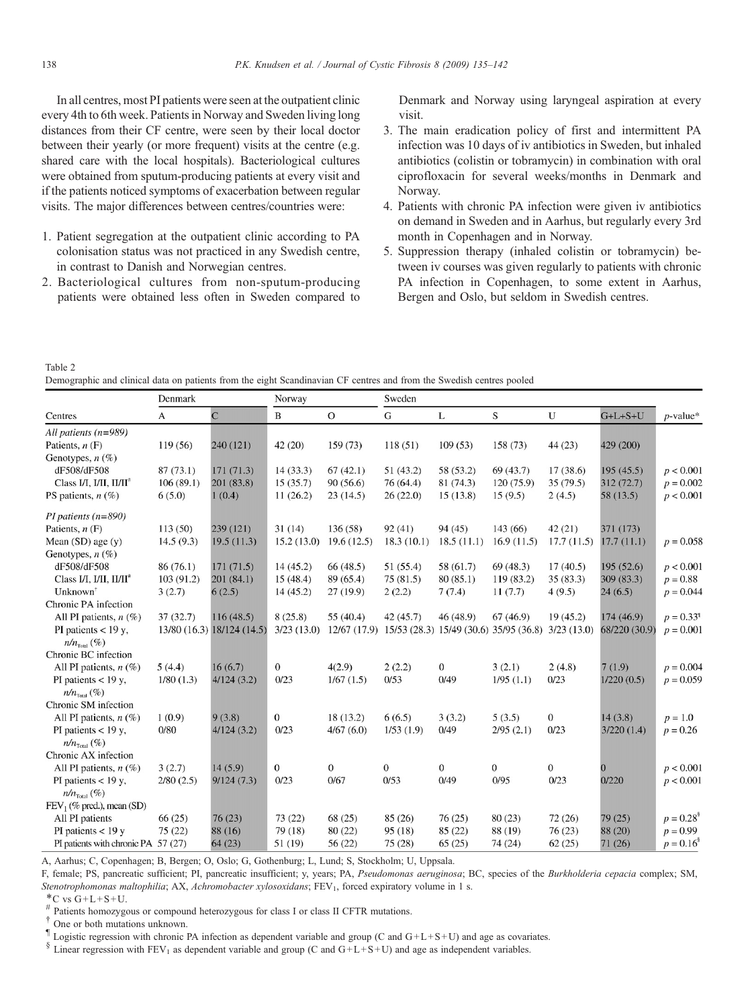<span id="page-3-0"></span>In all centres, most PI patients were seen at the outpatient clinic every 4th to 6th week. Patients in Norway and Sweden living long distances from their CF centre, were seen by their local doctor between their yearly (or more frequent) visits at the centre (e.g. shared care with the local hospitals). Bacteriological cultures were obtained from sputum-producing patients at every visit and if the patients noticed symptoms of exacerbation between regular visits. The major differences between centres/countries were:

- 1. Patient segregation at the outpatient clinic according to PA colonisation status was not practiced in any Swedish centre, in contrast to Danish and Norwegian centres.
- 2. Bacteriological cultures from non-sputum-producing patients were obtained less often in Sweden compared to

Denmark and Norway using laryngeal aspiration at every visit.

- 3. The main eradication policy of first and intermittent PA infection was 10 days of iv antibiotics in Sweden, but inhaled antibiotics (colistin or tobramycin) in combination with oral ciprofloxacin for several weeks/months in Denmark and Norway.
- 4. Patients with chronic PA infection were given iv antibiotics on demand in Sweden and in Aarhus, but regularly every 3rd month in Copenhagen and in Norway.
- 5. Suppression therapy (inhaled colistin or tobramycin) between iv courses was given regularly to patients with chronic PA infection in Copenhagen, to some extent in Aarhus, Bergen and Oslo, but seldom in Swedish centres.

Table 2

Demographic and clinical data on patients from the eight Scandinavian CF centres and from the Swedish centres pooled

|                                              | Denmark    |                            | Norway           |              | Sweden       |              |                                        |              |               |                          |
|----------------------------------------------|------------|----------------------------|------------------|--------------|--------------|--------------|----------------------------------------|--------------|---------------|--------------------------|
| Centres                                      | A          | $\overline{C}$             | B                | $\mathbf{O}$ | G            | L            | S                                      | U            | $G+L+S+U$     | $p$ -value*              |
| All patients $(n=989)$                       |            |                            |                  |              |              |              |                                        |              |               |                          |
| Patients, $n(F)$                             | 119 (56)   | 240 (121)                  | 42(20)           | 159(73)      | 118(51)      | 109(53)      | 158 (73)                               | 44(23)       | 429 (200)     |                          |
| Genotypes, n (%)                             |            |                            |                  |              |              |              |                                        |              |               |                          |
| dF508/dF508                                  | 87(73.1)   | 171(71.3)                  | 14(33.3)         | 67(42.1)     | 51(43.2)     | 58 (53.2)    | 69(43.7)                               | 17(38.6)     | 195(45.5)     | p < 0.001                |
| Class I/I, I/II, II/II <sup>#</sup>          | 106(89.1)  | 201 (83.8)                 | 15(35.7)         | 90(56.6)     | 76 (64.4)    | 81 (74.3)    | 120 (75.9)                             | 35(79.5)     | 312(72.7)     | $p = 0.002$              |
| PS patients, $n$ (%)                         | 6(5.0)     | 1(0.4)                     | 11(26.2)         | 23(14.5)     | 26(22.0)     | 15(13.8)     | 15(9.5)                                | 2(4.5)       | 58 (13.5)     | p < 0.001                |
| PI patients $(n=890)$                        |            |                            |                  |              |              |              |                                        |              |               |                          |
| Patients, $n(F)$                             | 113(50)    | 239(121)                   | 31(14)           | 136 (58)     | 92(41)       | 94(45)       | 143 (66)                               | 42(21)       | 371 (173)     |                          |
| Mean $(SD)$ age $(y)$                        | 14.5(9.3)  | 19.5(11.3)                 | 15.2(13.0)       | 19.6(12.5)   | 18.3(10.1)   | 18.5(11.1)   | 16.9(11.5)                             | 17.7(11.5)   | 17.7(11.1)    | $p = 0.058$              |
| Genotypes, $n$ (%)                           |            |                            |                  |              |              |              |                                        |              |               |                          |
| dF508/dF508                                  | 86 (76.1)  | 171(71.5)                  | 14(45.2)         | 66(48.5)     | 51(55.4)     | 58 (61.7)    | 69(48.3)                               | 17(40.5)     | 195(52.6)     | p < 0.001                |
| Class I/I, I/II, $II/II^*$                   | 103 (91.2) | 201 (84.1)                 | 15(48.4)         | 89 (65.4)    | 75(81.5)     | 80(85.1)     | 119 (83.2)                             | 35(83.3)     | 309 (83.3)    | $p = 0.88$               |
| Unknown                                      | 3(2.7)     | 6(2.5)                     | 14(45.2)         | 27(19.9)     | 2(2.2)       | 7(7.4)       | 11(7.7)                                | 4(9.5)       | 24(6.5)       | $p = 0.044$              |
| Chronic PA infection                         |            |                            |                  |              |              |              |                                        |              |               |                          |
| All PI patients, $n$ (%)                     | 37(32.7)   | 116(48.5)                  | 8(25.8)          | 55 (40.4)    | 42(45.7)     | 46(48.9)     | 67(46.9)                               | 19(45.2)     | 174(46.9)     | $p = 0.33^{4}$           |
| PI patients $<$ 19 y,                        |            | 13/80 (16.3) 18/124 (14.5) | 3/23(13.0)       | 12/67(17.9)  |              |              | 15/53 (28.3) 15/49 (30.6) 35/95 (36.8) | 3/23(13.0)   | 68/220 (30.9) | $p = 0.001$              |
| $n/n_{\text{\tiny Total}}\left(\!\% \right)$ |            |                            |                  |              |              |              |                                        |              |               |                          |
| Chronic BC infection                         |            |                            |                  |              |              |              |                                        |              |               |                          |
| All PI patients, $n$ (%)                     | 5(4.4)     | 16(6.7)                    | $\boldsymbol{0}$ | 4(2.9)       | 2(2.2)       | $\theta$     | 3(2.1)                                 | 2(4.8)       | 7(1.9)        | $p = 0.004$              |
| PI patients $<$ 19 y,                        | 1/80(1.3)  | 4/124(3.2)                 | 0/23             | 1/67(1.5)    | 0/53         | 0/49         | 1/95(1.1)                              | 0/23         | 1/220(0.5)    | $p = 0.059$              |
| $n/n_{\text{Total}}$ (%)                     |            |                            |                  |              |              |              |                                        |              |               |                          |
| Chronic SM infection                         |            |                            |                  |              |              |              |                                        |              |               |                          |
| All PI patients, $n(\%)$                     | 1(0.9)     | 9(3.8)                     | $\boldsymbol{0}$ | 18(13.2)     | 6(6.5)       | 3(3.2)       | 5(3.5)                                 | $\mathbf{0}$ | 14(3.8)       | $p = 1.0$                |
| PI patients $<$ 19 y,                        | 0/80       | 4/124(3.2)                 | 0/23             | 4/67(6.0)    | 1/53(1.9)    | 0/49         | 2/95(2.1)                              | 0/23         | 3/220(1.4)    | $p = 0.26$               |
| $n/n_{\text{Total}}(\%)$                     |            |                            |                  |              |              |              |                                        |              |               |                          |
| Chronic AX infection                         |            |                            |                  |              |              |              |                                        |              |               |                          |
| All PI patients, $n$ (%)                     | 3(2.7)     | 14(5.9)                    | $\mathbf{0}$     | $\mathbf{0}$ | $\mathbf{0}$ | $\mathbf{0}$ | $\mathbf{0}$                           | $\mathbf{0}$ | 0             | p < 0.001                |
| PI patients $<$ 19 y,                        | 2/80(2.5)  | 9/124(7.3)                 | 0/23             | 0/67         | 0/53         | 0/49         | 0/95                                   | 0/23         | 0/220         | p < 0.001                |
| $n/n_{\text{Total}}(\%)$                     |            |                            |                  |              |              |              |                                        |              |               |                          |
| $FEV1$ (% pred.), mean (SD)                  |            |                            |                  |              |              |              |                                        |              |               |                          |
| All PI patients                              | 66(25)     | 76(23)                     | 73(22)           | 68(25)       | 85 (26)      | 76(25)       | 80(23)                                 | 72(26)       | 79 (25)       | $p = 0.28^{\frac{8}{3}}$ |
| PI patients $<$ 19 y                         | 75(22)     | 88 (16)                    | 79 (18)          | 80(22)       | 95(18)       | 85(22)       | 88 (19)                                | 76(23)       | 88 (20)       | $p = 0.99$               |
| PI patients with chronic PA 57 (27)          |            | 64(23)                     | 51 (19)          | 56(22)       | 75(28)       | 65(25)       | 74 (24)                                | 62(25)       | 71(26)        | $p = 0.16^{\circ}$       |

A, Aarhus; C, Copenhagen; B, Bergen; O, Oslo; G, Gothenburg; L, Lund; S, Stockholm; U, Uppsala.

F, female; PS, pancreatic sufficient; PI, pancreatic insufficient; y, years; PA, Pseudomonas aeruginosa; BC, species of the Burkholderia cepacia complex; SM, Stenotrophomonas maltophilia; AX, Achromobacter xylosoxidans; FEV<sub>1</sub>, forced expiratory volume in 1 s.

 $*$ C vs G+L+S+U.

 $*$  Patients homozygous or compound heterozygous for class I or class II CFTR mutations.  $*$  One or both mutations unknown.

U Logistic regression with chronic PA infection as dependent variable and group (C and  $G+L+S+U$ ) and age as covariates.

 $$$  Linear regression with FEV<sub>1</sub> as dependent variable and group (C and G+L+S+U) and age as independent variables.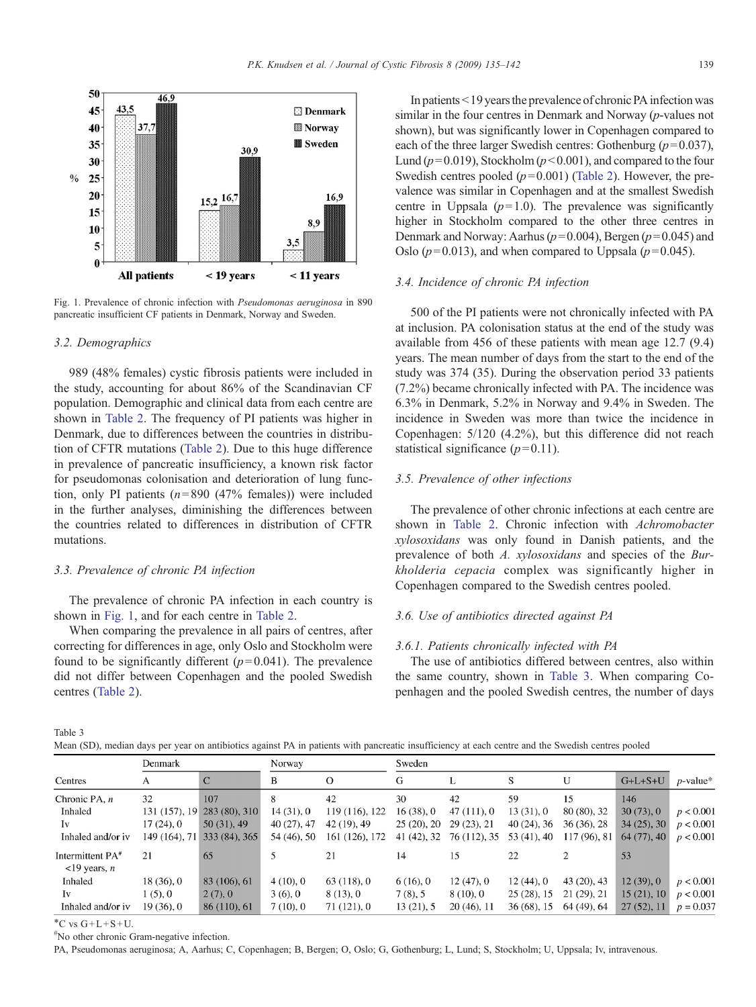<span id="page-4-0"></span>

Fig. 1. Prevalence of chronic infection with Pseudomonas aeruginosa in 890 pancreatic insufficient CF patients in Denmark, Norway and Sweden.

## 3.2. Demographics

989 (48% females) cystic fibrosis patients were included in the study, accounting for about 86% of the Scandinavian CF population. Demographic and clinical data from each centre are shown in [Table 2](#page-3-0). The frequency of PI patients was higher in Denmark, due to differences between the countries in distribution of CFTR mutations [\(Table 2](#page-3-0)). Due to this huge difference in prevalence of pancreatic insufficiency, a known risk factor for pseudomonas colonisation and deterioration of lung function, only PI patients ( $n=890$  (47% females)) were included in the further analyses, diminishing the differences between the countries related to differences in distribution of CFTR mutations.

## 3.3. Prevalence of chronic PA infection

The prevalence of chronic PA infection in each country is shown in Fig. 1, and for each centre in [Table 2.](#page-3-0)

When comparing the prevalence in all pairs of centres, after correcting for differences in age, only Oslo and Stockholm were found to be significantly different  $(p= 0.041)$ . The prevalence did not differ between Copenhagen and the pooled Swedish centres ([Table 2](#page-3-0)).

In patients  $\leq$  19 years the prevalence of chronic PA infection was similar in the four centres in Denmark and Norway (p-values not shown), but was significantly lower in Copenhagen compared to each of the three larger Swedish centres: Gothenburg  $(p=0.037)$ , Lund ( $p=0.019$ ), Stockholm ( $p<0.001$ ), and compared to the four Swedish centres pooled  $(p= 0.001)$  [\(Table 2](#page-3-0)). However, the prevalence was similar in Copenhagen and at the smallest Swedish centre in Uppsala  $(p=1.0)$ . The prevalence was significantly higher in Stockholm compared to the other three centres in Denmark and Norway: Aarhus ( $p=0.004$ ), Bergen ( $p=0.045$ ) and Oslo ( $p=0.013$ ), and when compared to Uppsala ( $p=0.045$ ).

#### 3.4. Incidence of chronic PA infection

500 of the PI patients were not chronically infected with PA at inclusion. PA colonisation status at the end of the study was available from 456 of these patients with mean age 12.7 (9.4) years. The mean number of days from the start to the end of the study was 374 (35). During the observation period 33 patients (7.2%) became chronically infected with PA. The incidence was 6.3% in Denmark, 5.2% in Norway and 9.4% in Sweden. The incidence in Sweden was more than twice the incidence in Copenhagen: 5/120 (4.2%), but this difference did not reach statistical significance  $(p=0.11)$ .

#### 3.5. Prevalence of other infections

The prevalence of other chronic infections at each centre are shown in [Table 2](#page-3-0). Chronic infection with Achromobacter xylosoxidans was only found in Danish patients, and the prevalence of both A. xylosoxidans and species of the Burkholderia cepacia complex was significantly higher in Copenhagen compared to the Swedish centres pooled.

## 3.6. Use of antibiotics directed against PA

#### 3.6.1. Patients chronically infected with PA

The use of antibiotics differed between centres, also within the same country, shown in Table 3. When comparing Copenhagen and the pooled Swedish centres, the number of days

Table 3

|  |  | Mean (SD), median days per year on antibiotics against PA in patients with pancreatic insufficiency at each centre and the Swedish centres pooled |  |  |  |  |
|--|--|---------------------------------------------------------------------------------------------------------------------------------------------------|--|--|--|--|
|--|--|---------------------------------------------------------------------------------------------------------------------------------------------------|--|--|--|--|

|                                                              | Denmark       |               | Norway      |                | Sweden      |              |               |             |            |             |
|--------------------------------------------------------------|---------------|---------------|-------------|----------------|-------------|--------------|---------------|-------------|------------|-------------|
| Centres                                                      | А             | $\mathbf C$   | B           | $\Omega$       | G           | L            | S             | U           | $G+L+S+U$  | $p$ -value* |
| Chronic PA, $n$                                              | 32            | 107           | 8           | 42             | 30          | 42           | 59            | 15          | 146        |             |
| Inhaled                                                      | 131 (157), 19 | 283 (80), 310 | 14(31),0    | 119 (116), 122 | 16(38), 0   | 47(111),0    | 13(31), 0     | 80 (80), 32 | 30(73), 0  | p < 0.001   |
| Iv                                                           | 17(24), 0     | 50(31), 49    | 40(27), 47  | 42 (19), 49    | 25(20), 20  | 29(23), 21   | $40(24)$ , 36 | 36(36), 28  | 34(25), 30 | p < 0.001   |
| Inhaled and/or iv                                            | 149 (164), 71 | 333 (84), 365 | 54 (46), 50 | 161 (126), 172 | 41 (42), 32 | 76 (112), 35 | 53 (41), 40   | 117(96), 81 | 64(77), 40 | p < 0.001   |
| Intermittent PA <sup>#</sup><br>$\langle$ 19 years, <i>n</i> | 21            | 65            |             | 21             | 14          | 15           | 22            |             | 53         |             |
| Inhaled                                                      | 18(36),0      | 83 (106), 61  | 4(10), 0    | 63(118),0      | 6(16), 0    | 12(47), 0    | $12(44)$ , 0  | 43 (20), 43 | 12(39), 0  | p < 0.001   |
| Iv                                                           | 1(5), 0       | 2(7), 0       | 3(6), 0     | 8(13), 0       | 7(8), 5     | 8(10), 0     | 25(28), 15    | 21(29), 21  | 15(21), 10 | p < 0.001   |
| Inhaled and/or iv                                            | 19(36), 0     | 86 (110), 61  | 7(10), 0    | 71(121), 0     | 13(21), 5   | 20(46), 11   | $36(68)$ , 15 | 64 (49), 64 | 27(52), 11 | $p = 0.037$ |

 $^{\ast}$ C vs G+L+S+U.

# No other chronic Gram-negative infection.

PA, Pseudomonas aeruginosa; A, Aarhus; C, Copenhagen; B, Bergen; O, Oslo; G, Gothenburg; L, Lund; S, Stockholm; U, Uppsala; Iv, intravenous.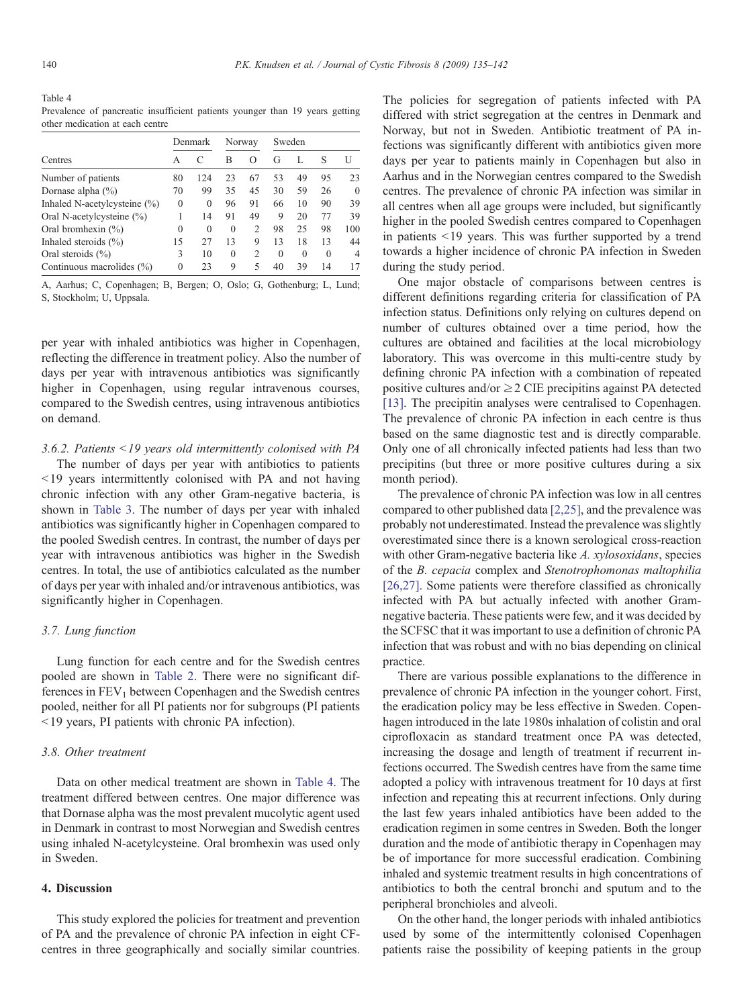Table 4 Prevalence of pancreatic insufficient patients younger than 19 years getting other medication at each centre

|                                 |          | Denmark  | Norway   |               | Sweden   |          |          |                |
|---------------------------------|----------|----------|----------|---------------|----------|----------|----------|----------------|
| Centres                         |          |          | В        | O             | G        | L        | S        | U              |
| Number of patients              | 80       | 124      | 23       | 67            | 53       | 49       | 95       | 23             |
| Dornase alpha $(\% )$           | 70       | 99       | 35       | 45            | 30       | 59       | 26       | $\theta$       |
| Inhaled N-acetylcysteine $(\%)$ | $\theta$ | $\Omega$ | 96       | 91            | 66       | 10       | 90       | 39             |
| Oral N-acetylcysteine $(\%)$    |          | 14       | 91       | 49            | 9        | 20       | 77       | 39             |
| Oral bromhexin $(\% )$          | $\theta$ | $\Omega$ | $\Omega$ | 2             | 98       | 25       | 98       | 100            |
| Inhaled steroids $(\% )$        | 15       | 27       | 13       | 9             | 13       | 18       | 13       | 44             |
| Oral steroids $(\% )$           | 3        | 10       | $\theta$ | $\mathcal{D}$ | $\theta$ | $\Omega$ | $\Omega$ | $\overline{4}$ |
| Continuous macrolides (%)       | $\theta$ | 23       | 9        | 5             | 40       | 39       | 14       | 17             |

A, Aarhus; C, Copenhagen; B, Bergen; O, Oslo; G, Gothenburg; L, Lund; S, Stockholm; U, Uppsala.

per year with inhaled antibiotics was higher in Copenhagen, reflecting the difference in treatment policy. Also the number of days per year with intravenous antibiotics was significantly higher in Copenhagen, using regular intravenous courses, compared to the Swedish centres, using intravenous antibiotics on demand.

## 3.6.2. Patients  $\leq$  19 years old intermittently colonised with PA

The number of days per year with antibiotics to patients  $19$  years intermittently colonised with PA and not having chronic infection with any other Gram-negative bacteria, is shown in [Table 3](#page-4-0). The number of days per year with inhaled antibiotics was significantly higher in Copenhagen compared to the pooled Swedish centres. In contrast, the number of days per year with intravenous antibiotics was higher in the Swedish centres. In total, the use of antibiotics calculated as the number of days per year with inhaled and/or intravenous antibiotics, was significantly higher in Copenhagen.

## 3.7. Lung function

Lung function for each centre and for the Swedish centres pooled are shown in [Table 2.](#page-3-0) There were no significant differences in  $FEV<sub>1</sub>$  between Copenhagen and the Swedish centres pooled, neither for all PI patients nor for subgroups (PI patients b19 years, PI patients with chronic PA infection).

#### 3.8. Other treatment

Data on other medical treatment are shown in Table 4. The treatment differed between centres. One major difference was that Dornase alpha was the most prevalent mucolytic agent used in Denmark in contrast to most Norwegian and Swedish centres using inhaled N-acetylcysteine. Oral bromhexin was used only in Sweden.

# 4. Discussion

This study explored the policies for treatment and prevention of PA and the prevalence of chronic PA infection in eight CFcentres in three geographically and socially similar countries.

The policies for segregation of patients infected with PA differed with strict segregation at the centres in Denmark and Norway, but not in Sweden. Antibiotic treatment of PA infections was significantly different with antibiotics given more days per year to patients mainly in Copenhagen but also in Aarhus and in the Norwegian centres compared to the Swedish centres. The prevalence of chronic PA infection was similar in all centres when all age groups were included, but significantly higher in the pooled Swedish centres compared to Copenhagen in patients  $\leq$ 19 years. This was further supported by a trend towards a higher incidence of chronic PA infection in Sweden during the study period.

One major obstacle of comparisons between centres is different definitions regarding criteria for classification of PA infection status. Definitions only relying on cultures depend on number of cultures obtained over a time period, how the cultures are obtained and facilities at the local microbiology laboratory. This was overcome in this multi-centre study by defining chronic PA infection with a combination of repeated positive cultures and/or  $\geq$  2 CIE precipitins against PA detected [\[13\]](#page-7-0). The precipitin analyses were centralised to Copenhagen. The prevalence of chronic PA infection in each centre is thus based on the same diagnostic test and is directly comparable. Only one of all chronically infected patients had less than two precipitins (but three or more positive cultures during a six month period).

The prevalence of chronic PA infection was low in all centres compared to other published data [\[2,25\],](#page-6-0) and the prevalence was probably not underestimated. Instead the prevalence was slightly overestimated since there is a known serological cross-reaction with other Gram-negative bacteria like A. xylosoxidans, species of the B. cepacia complex and Stenotrophomonas maltophilia [\[26,27\].](#page-7-0) Some patients were therefore classified as chronically infected with PA but actually infected with another Gramnegative bacteria. These patients were few, and it was decided by the SCFSC that it was important to use a definition of chronic PA infection that was robust and with no bias depending on clinical practice.

There are various possible explanations to the difference in prevalence of chronic PA infection in the younger cohort. First, the eradication policy may be less effective in Sweden. Copenhagen introduced in the late 1980s inhalation of colistin and oral ciprofloxacin as standard treatment once PA was detected, increasing the dosage and length of treatment if recurrent infections occurred. The Swedish centres have from the same time adopted a policy with intravenous treatment for 10 days at first infection and repeating this at recurrent infections. Only during the last few years inhaled antibiotics have been added to the eradication regimen in some centres in Sweden. Both the longer duration and the mode of antibiotic therapy in Copenhagen may be of importance for more successful eradication. Combining inhaled and systemic treatment results in high concentrations of antibiotics to both the central bronchi and sputum and to the peripheral bronchioles and alveoli.

On the other hand, the longer periods with inhaled antibiotics used by some of the intermittently colonised Copenhagen patients raise the possibility of keeping patients in the group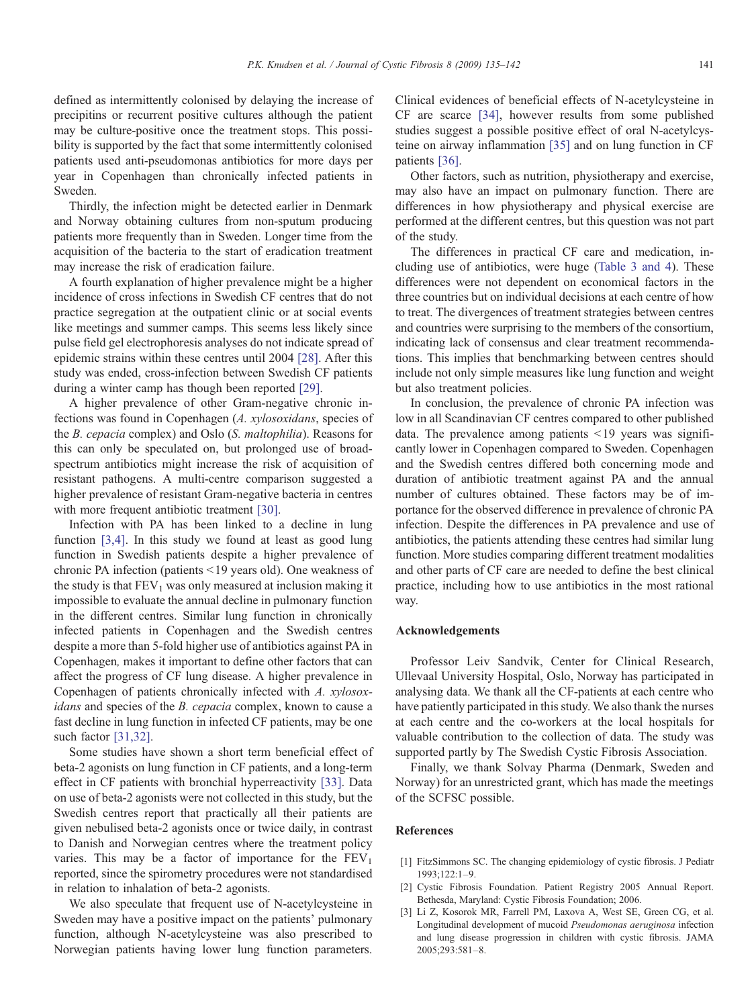<span id="page-6-0"></span>defined as intermittently colonised by delaying the increase of precipitins or recurrent positive cultures although the patient may be culture-positive once the treatment stops. This possibility is supported by the fact that some intermittently colonised patients used anti-pseudomonas antibiotics for more days per year in Copenhagen than chronically infected patients in Sweden.

Thirdly, the infection might be detected earlier in Denmark and Norway obtaining cultures from non-sputum producing patients more frequently than in Sweden. Longer time from the acquisition of the bacteria to the start of eradication treatment may increase the risk of eradication failure.

A fourth explanation of higher prevalence might be a higher incidence of cross infections in Swedish CF centres that do not practice segregation at the outpatient clinic or at social events like meetings and summer camps. This seems less likely since pulse field gel electrophoresis analyses do not indicate spread of epidemic strains within these centres until 2004 [\[28\].](#page-7-0) After this study was ended, cross-infection between Swedish CF patients during a winter camp has though been reported [\[29\]](#page-7-0).

A higher prevalence of other Gram-negative chronic infections was found in Copenhagen (A. xylosoxidans, species of the B. cepacia complex) and Oslo (S. maltophilia). Reasons for this can only be speculated on, but prolonged use of broadspectrum antibiotics might increase the risk of acquisition of resistant pathogens. A multi-centre comparison suggested a higher prevalence of resistant Gram-negative bacteria in centres with more frequent antibiotic treatment [\[30\].](#page-7-0)

Infection with PA has been linked to a decline in lung function [3,4]. In this study we found at least as good lung function in Swedish patients despite a higher prevalence of chronic PA infection (patients <19 years old). One weakness of the study is that  $FEV<sub>1</sub>$  was only measured at inclusion making it impossible to evaluate the annual decline in pulmonary function in the different centres. Similar lung function in chronically infected patients in Copenhagen and the Swedish centres despite a more than 5-fold higher use of antibiotics against PA in Copenhagen, makes it important to define other factors that can affect the progress of CF lung disease. A higher prevalence in Copenhagen of patients chronically infected with A. xylosoxidans and species of the B. cepacia complex, known to cause a fast decline in lung function in infected CF patients, may be one such factor [\[31,32\]](#page-7-0).

Some studies have shown a short term beneficial effect of beta-2 agonists on lung function in CF patients, and a long-term effect in CF patients with bronchial hyperreactivity [\[33\]](#page-7-0). Data on use of beta-2 agonists were not collected in this study, but the Swedish centres report that practically all their patients are given nebulised beta-2 agonists once or twice daily, in contrast to Danish and Norwegian centres where the treatment policy varies. This may be a factor of importance for the  $FEV<sub>1</sub>$ reported, since the spirometry procedures were not standardised in relation to inhalation of beta-2 agonists.

We also speculate that frequent use of N-acetylcysteine in Sweden may have a positive impact on the patients' pulmonary function, although N-acetylcysteine was also prescribed to Norwegian patients having lower lung function parameters. Clinical evidences of beneficial effects of N-acetylcysteine in CF are scarce [\[34\],](#page-7-0) however results from some published studies suggest a possible positive effect of oral N-acetylcysteine on airway inflammation [\[35\]](#page-7-0) and on lung function in CF patients [\[36\].](#page-7-0)

Other factors, such as nutrition, physiotherapy and exercise, may also have an impact on pulmonary function. There are differences in how physiotherapy and physical exercise are performed at the different centres, but this question was not part of the study.

The differences in practical CF care and medication, including use of antibiotics, were huge [\(Table 3 and 4](#page-4-0)). These differences were not dependent on economical factors in the three countries but on individual decisions at each centre of how to treat. The divergences of treatment strategies between centres and countries were surprising to the members of the consortium, indicating lack of consensus and clear treatment recommendations. This implies that benchmarking between centres should include not only simple measures like lung function and weight but also treatment policies.

In conclusion, the prevalence of chronic PA infection was low in all Scandinavian CF centres compared to other published data. The prevalence among patients  $\leq 19$  years was significantly lower in Copenhagen compared to Sweden. Copenhagen and the Swedish centres differed both concerning mode and duration of antibiotic treatment against PA and the annual number of cultures obtained. These factors may be of importance for the observed difference in prevalence of chronic PA infection. Despite the differences in PA prevalence and use of antibiotics, the patients attending these centres had similar lung function. More studies comparing different treatment modalities and other parts of CF care are needed to define the best clinical practice, including how to use antibiotics in the most rational way.

#### Acknowledgements

Professor Leiv Sandvik, Center for Clinical Research, Ullevaal University Hospital, Oslo, Norway has participated in analysing data. We thank all the CF-patients at each centre who have patiently participated in this study. We also thank the nurses at each centre and the co-workers at the local hospitals for valuable contribution to the collection of data. The study was supported partly by The Swedish Cystic Fibrosis Association.

Finally, we thank Solvay Pharma (Denmark, Sweden and Norway) for an unrestricted grant, which has made the meetings of the SCFSC possible.

#### References

- [1] FitzSimmons SC. The changing epidemiology of cystic fibrosis. J Pediatr 1993;122:1–9.
- [2] Cystic Fibrosis Foundation. Patient Registry 2005 Annual Report. Bethesda, Maryland: Cystic Fibrosis Foundation; 2006.
- Li Z, Kosorok MR, Farrell PM, Laxova A, West SE, Green CG, et al. Longitudinal development of mucoid Pseudomonas aeruginosa infection and lung disease progression in children with cystic fibrosis. JAMA 2005;293:581–8.